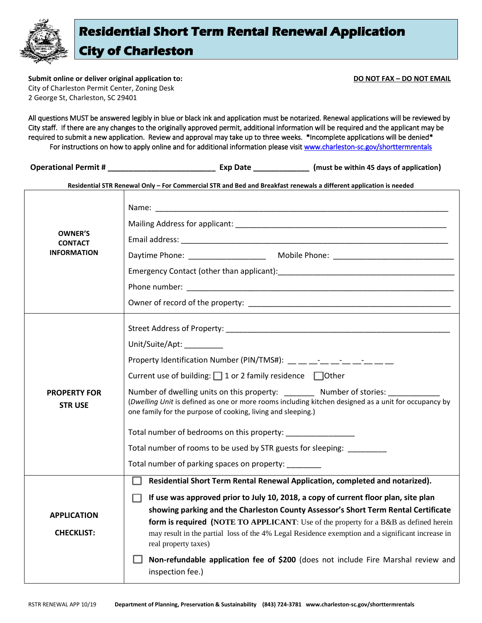

**Submit online or deliver original application to: DO NOT FAX – DO NOT EMAIL** City of Charleston Permit Center, Zoning Desk 2 George St, Charleston, SC 29401

All questions MUST be answered legibly in blue or black ink and application must be notarized. Renewal applications will be reviewed by City staff. If there are any changes to the originally approved permit, additional information will be required and the applicant may be required to submit a new application. Review and approval may take up to three weeks. \*Incomplete applications will be denied\* For instructions on how to apply online and for additional information please visit www.charleston-sc.gov/shorttermrentals

**Operational Permit # \_\_\_\_\_\_\_\_\_\_\_\_\_\_\_\_\_\_\_\_\_\_\_\_\_ Exp Date \_\_\_\_\_\_\_\_\_\_\_\_\_ (must be within 45 days of application)**

**Residential STR Renewal Only – For Commercial STR and Bed and Breakfast renewals a different application is needed**

| <b>OWNER'S</b><br><b>CONTACT</b><br><b>INFORMATION</b> |                                                                                                                                                                                                                                                                                                                                                                                               |
|--------------------------------------------------------|-----------------------------------------------------------------------------------------------------------------------------------------------------------------------------------------------------------------------------------------------------------------------------------------------------------------------------------------------------------------------------------------------|
|                                                        |                                                                                                                                                                                                                                                                                                                                                                                               |
|                                                        |                                                                                                                                                                                                                                                                                                                                                                                               |
|                                                        |                                                                                                                                                                                                                                                                                                                                                                                               |
|                                                        |                                                                                                                                                                                                                                                                                                                                                                                               |
|                                                        |                                                                                                                                                                                                                                                                                                                                                                                               |
| <b>PROPERTY FOR</b><br><b>STRUSE</b>                   |                                                                                                                                                                                                                                                                                                                                                                                               |
|                                                        | Unit/Suite/Apt: ________                                                                                                                                                                                                                                                                                                                                                                      |
|                                                        | Property Identification Number (PIN/TMS#): __ _ _ _ _ _ _ _ _ _ _ _ _ _ _                                                                                                                                                                                                                                                                                                                     |
|                                                        | Current use of building: $\Box$ 1 or 2 family residence $\Box$ Other                                                                                                                                                                                                                                                                                                                          |
|                                                        | Number of dwelling units on this property: Number of stories:<br>(Dwelling Unit is defined as one or more rooms including kitchen designed as a unit for occupancy by<br>one family for the purpose of cooking, living and sleeping.)                                                                                                                                                         |
|                                                        | Total number of bedrooms on this property:                                                                                                                                                                                                                                                                                                                                                    |
|                                                        | Total number of rooms to be used by STR guests for sleeping: _________                                                                                                                                                                                                                                                                                                                        |
|                                                        | Total number of parking spaces on property:                                                                                                                                                                                                                                                                                                                                                   |
|                                                        | Residential Short Term Rental Renewal Application, completed and notarized).                                                                                                                                                                                                                                                                                                                  |
| <b>APPLICATION</b><br><b>CHECKLIST:</b>                | If use was approved prior to July 10, 2018, a copy of current floor plan, site plan<br>showing parking and the Charleston County Assessor's Short Term Rental Certificate<br>form is required (NOTE TO APPLICANT: Use of the property for a B&B as defined herein<br>may result in the partial loss of the 4% Legal Residence exemption and a significant increase in<br>real property taxes) |
|                                                        | Non-refundable application fee of \$200 (does not include Fire Marshal review and<br>inspection fee.)                                                                                                                                                                                                                                                                                         |